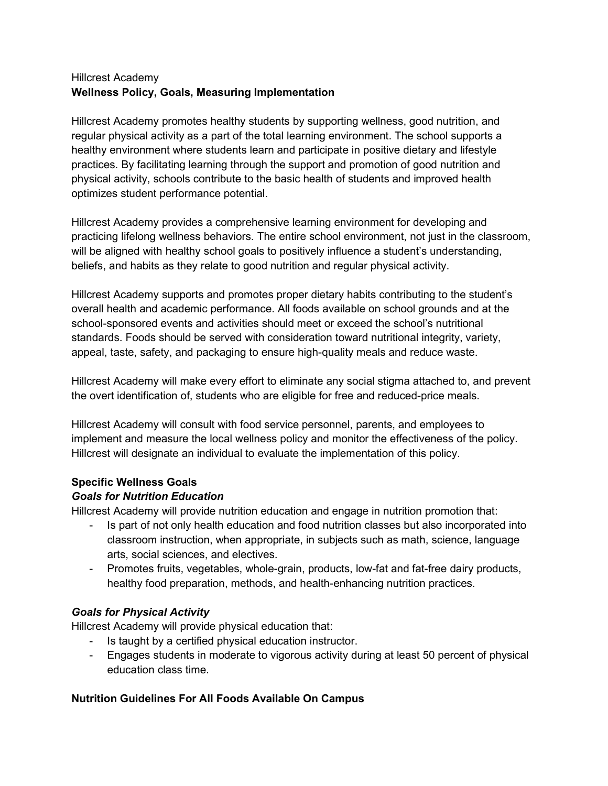## Hillcrest Academy Wellness Policy, Goals, Measuring Implementation

Hillcrest Academy promotes healthy students by supporting wellness, good nutrition, and regular physical activity as a part of the total learning environment. The school supports a healthy environment where students learn and participate in positive dietary and lifestyle practices. By facilitating learning through the support and promotion of good nutrition and physical activity, schools contribute to the basic health of students and improved health optimizes student performance potential.

Hillcrest Academy provides a comprehensive learning environment for developing and practicing lifelong wellness behaviors. The entire school environment, not just in the classroom, will be aligned with healthy school goals to positively influence a student's understanding, beliefs, and habits as they relate to good nutrition and regular physical activity.

Hillcrest Academy supports and promotes proper dietary habits contributing to the student's overall health and academic performance. All foods available on school grounds and at the school-sponsored events and activities should meet or exceed the school's nutritional standards. Foods should be served with consideration toward nutritional integrity, variety, appeal, taste, safety, and packaging to ensure high-quality meals and reduce waste.

Hillcrest Academy will make every effort to eliminate any social stigma attached to, and prevent the overt identification of, students who are eligible for free and reduced-price meals.

Hillcrest Academy will consult with food service personnel, parents, and employees to implement and measure the local wellness policy and monitor the effectiveness of the policy. Hillcrest will designate an individual to evaluate the implementation of this policy.

# Specific Wellness Goals

# Goals for Nutrition Education

Hillcrest Academy will provide nutrition education and engage in nutrition promotion that:

- Is part of not only health education and food nutrition classes but also incorporated into classroom instruction, when appropriate, in subjects such as math, science, language arts, social sciences, and electives.
- Promotes fruits, vegetables, whole-grain, products, low-fat and fat-free dairy products, healthy food preparation, methods, and health-enhancing nutrition practices.

# Goals for Physical Activity

Hillcrest Academy will provide physical education that:

- Is taught by a certified physical education instructor.
- Engages students in moderate to vigorous activity during at least 50 percent of physical education class time.

# Nutrition Guidelines For All Foods Available On Campus